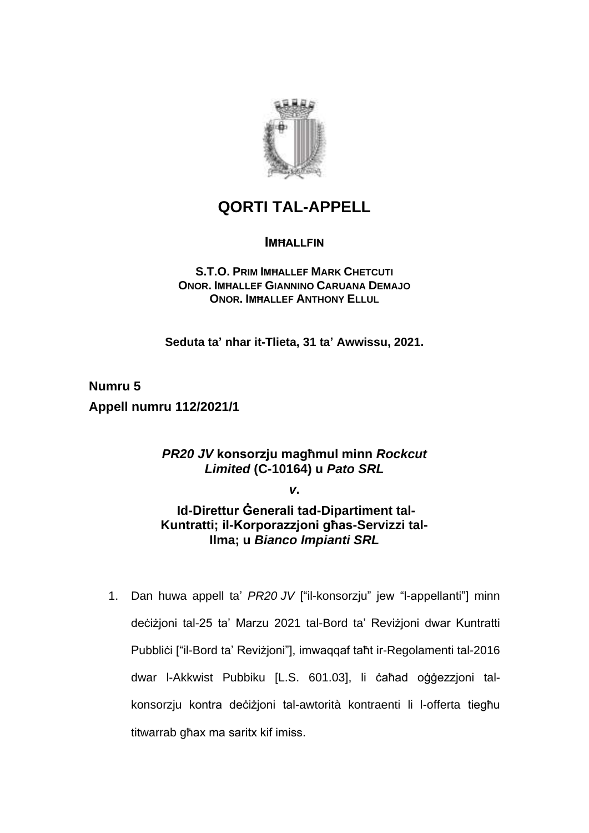

# **QORTI TAL-APPELL**

### **IMĦALLFIN**

**S.T.O. PRIM IMĦALLEF MARK CHETCUTI ONOR. IMĦALLEF GIANNINO CARUANA DEMAJO ONOR. IMĦALLEF ANTHONY ELLUL**

**Seduta ta' nhar it-Tlieta, 31 ta' Awwissu, 2021.**

**Numru 5 Appell numru 112/2021/1**

## *PR20 JV* **konsorzju magħmul minn** *Rockcut Limited* **(C-10164) u** *Pato SRL*

*v***.**

**Id-Direttur Ġenerali tad-Dipartiment tal-Kuntratti; il-Korporazzjoni għas-Servizzi tal-Ilma; u** *Bianco Impianti SRL*

1. Dan huwa appell ta' *PR20 JV* ["il-konsorzju" jew "l-appellanti"] minn deċiżjoni tal-25 ta' Marzu 2021 tal-Bord ta' Reviżjoni dwar Kuntratti Pubbliċi ["il-Bord ta' Reviżjoni"], imwaqqaf taħt ir-Regolamenti tal-2016 dwar l-Akkwist Pubbiku [L.S. 601.03], li ċaħad oġġezzjoni talkonsorzju kontra deċiżjoni tal-awtorità kontraenti li l-offerta tiegħu titwarrab għax ma saritx kif imiss.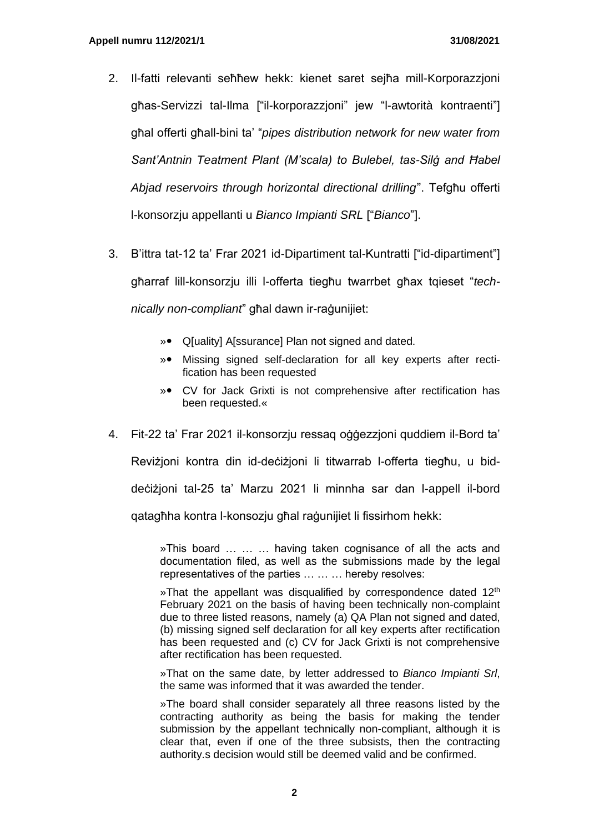- 2. Il-fatti relevanti seħħew hekk: kienet saret sejħa mill-Korporazzjoni għas-Servizzi tal-Ilma ["il-korporazzjoni" jew "l-awtorità kontraenti"] għal offerti għall-bini ta' "*pipes distribution network for new water from Sant'Antnin Teatment Plant (M'scala) to Bulebel, tas-Silġ and Ħabel Abjad reservoirs through horizontal directional drilling*". Tefgħu offerti l-konsorzju appellanti u *Bianco Impianti SRL* ["*Bianco*"].
- 3. B'ittra tat-12 ta' Frar 2021 id-Dipartiment tal-Kuntratti ["id-dipartiment"] għarraf lill-konsorzju illi l-offerta tiegħu twarrbet għax tqieset "*technically non-compliant*" għal dawn ir-raġunijiet:
	- » Q[uality] A[ssurance] Plan not signed and dated.
	- » Missing signed self-declaration for all key experts after rectification has been requested
	- » CV for Jack Grixti is not comprehensive after rectification has been requested.«
- 4. Fit-22 ta' Frar 2021 il-konsorzju ressaq oġġezzjoni quddiem il-Bord ta'

Reviżjoni kontra din id-deċiżjoni li titwarrab l-offerta tiegħu, u biddeċiżjoni tal-25 ta' Marzu 2021 li minnha sar dan l-appell il-bord qatagħha kontra l-konsozju għal raġunijiet li fissirhom hekk:

»This board … … … having taken cognisance of all the acts and documentation filed, as well as the submissions made by the legal representatives of the parties … … … hereby resolves:

»That the appellant was disqualified by correspondence dated 12<sup>th</sup> February 2021 on the basis of having been technically non-complaint due to three listed reasons, namely (a) QA Plan not signed and dated, (b) missing signed self declaration for all key experts after rectification has been requested and (c) CV for Jack Grixti is not comprehensive after rectification has been requested.

»That on the same date, by letter addressed to *Bianco Impianti Srl*, the same was informed that it was awarded the tender.

»The board shall consider separately all three reasons listed by the contracting authority as being the basis for making the tender submission by the appellant technically non-compliant, although it is clear that, even if one of the three subsists, then the contracting authority.s decision would still be deemed valid and be confirmed.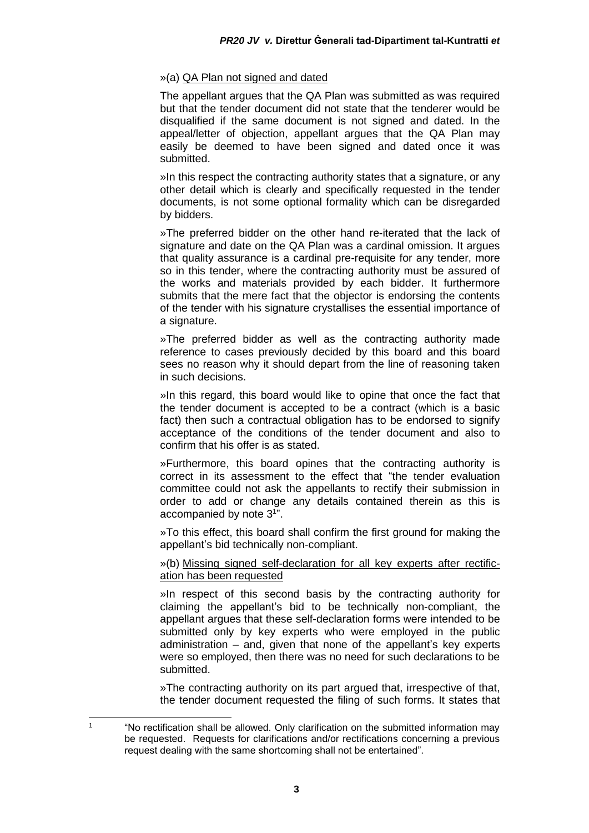#### »(a) QA Plan not signed and dated

The appellant argues that the QA Plan was submitted as was required but that the tender document did not state that the tenderer would be disqualified if the same document is not signed and dated. In the appeal/letter of objection, appellant argues that the QA Plan may easily be deemed to have been signed and dated once it was submitted.

»In this respect the contracting authority states that a signature, or any other detail which is clearly and specifically requested in the tender documents, is not some optional formality which can be disregarded by bidders.

»The preferred bidder on the other hand re-iterated that the lack of signature and date on the QA Plan was a cardinal omission. It argues that quality assurance is a cardinal pre-requisite for any tender, more so in this tender, where the contracting authority must be assured of the works and materials provided by each bidder. It furthermore submits that the mere fact that the objector is endorsing the contents of the tender with his signature crystallises the essential importance of a signature.

»The preferred bidder as well as the contracting authority made reference to cases previously decided by this board and this board sees no reason why it should depart from the line of reasoning taken in such decisions.

»In this regard, this board would like to opine that once the fact that the tender document is accepted to be a contract (which is a basic fact) then such a contractual obligation has to be endorsed to signify acceptance of the conditions of the tender document and also to confirm that his offer is as stated.

»Furthermore, this board opines that the contracting authority is correct in its assessment to the effect that "the tender evaluation committee could not ask the appellants to rectify their submission in order to add or change any details contained therein as this is accompanied by note 3<sup>1</sup>".

»To this effect, this board shall confirm the first ground for making the appellant's bid technically non-compliant.

#### »(b) Missing signed self-declaration for all key experts after rectification has been requested

»In respect of this second basis by the contracting authority for claiming the appellant's bid to be technically non-compliant, the appellant argues that these self-declaration forms were intended to be submitted only by key experts who were employed in the public administration – and, given that none of the appellant's key experts were so employed, then there was no need for such declarations to be submitted.

»The contracting authority on its part argued that, irrespective of that, the tender document requested the filing of such forms. It states that

<sup>1</sup> "No rectification shall be allowed. Only clarification on the submitted information may be requested. Requests for clarifications and/or rectifications concerning a previous request dealing with the same shortcoming shall not be entertained".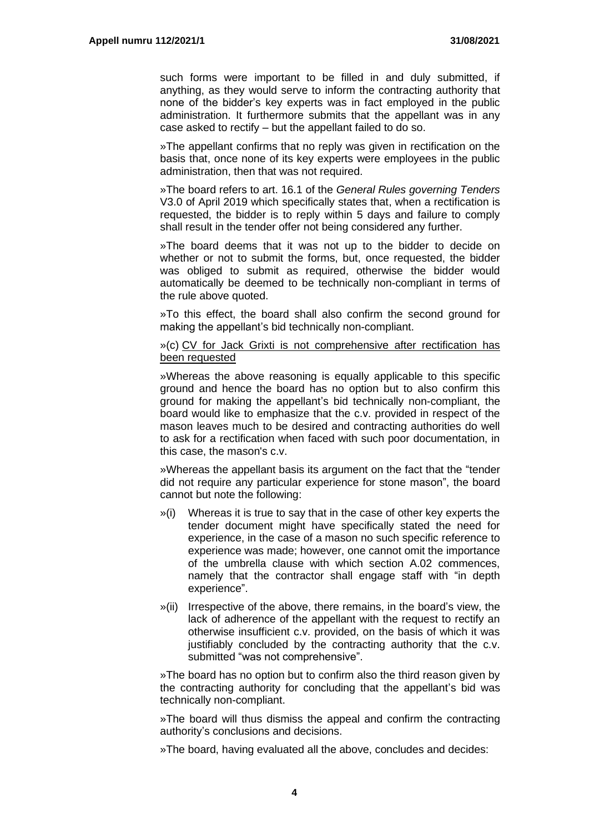such forms were important to be filled in and duly submitted, if anything, as they would serve to inform the contracting authority that none of the bidder's key experts was in fact employed in the public administration. It furthermore submits that the appellant was in any case asked to rectify – but the appellant failed to do so.

»The appellant confirms that no reply was given in rectification on the basis that, once none of its key experts were employees in the public administration, then that was not required.

»The board refers to art. 16.1 of the *General Rules governing Tenders* V3.0 of April 2019 which specifically states that, when a rectification is requested, the bidder is to reply within 5 days and failure to comply shall result in the tender offer not being considered any further.

»The board deems that it was not up to the bidder to decide on whether or not to submit the forms, but, once requested, the bidder was obliged to submit as required, otherwise the bidder would automatically be deemed to be technically non-compliant in terms of the rule above quoted.

»To this effect, the board shall also confirm the second ground for making the appellant's bid technically non-compliant.

#### »(c) CV for Jack Grixti is not comprehensive after rectification has been requested

»Whereas the above reasoning is equally applicable to this specific ground and hence the board has no option but to also confirm this ground for making the appellant's bid technically non-compliant, the board would like to emphasize that the c.v. provided in respect of the mason leaves much to be desired and contracting authorities do well to ask for a rectification when faced with such poor documentation, in this case, the mason's c.v.

»Whereas the appellant basis its argument on the fact that the "tender did not require any particular experience for stone mason", the board cannot but note the following:

- »(i) Whereas it is true to say that in the case of other key experts the tender document might have specifically stated the need for experience, in the case of a mason no such specific reference to experience was made; however, one cannot omit the importance of the umbrella clause with which section A.02 commences, namely that the contractor shall engage staff with "in depth experience".
- »(ii) Irrespective of the above, there remains, in the board's view, the lack of adherence of the appellant with the request to rectify an otherwise insufficient c.v. provided, on the basis of which it was justifiably concluded by the contracting authority that the c.v. submitted "was not comprehensive".

»The board has no option but to confirm also the third reason given by the contracting authority for concluding that the appellant's bid was technically non-compliant.

»The board will thus dismiss the appeal and confirm the contracting authority's conclusions and decisions.

»The board, having evaluated all the above, concludes and decides: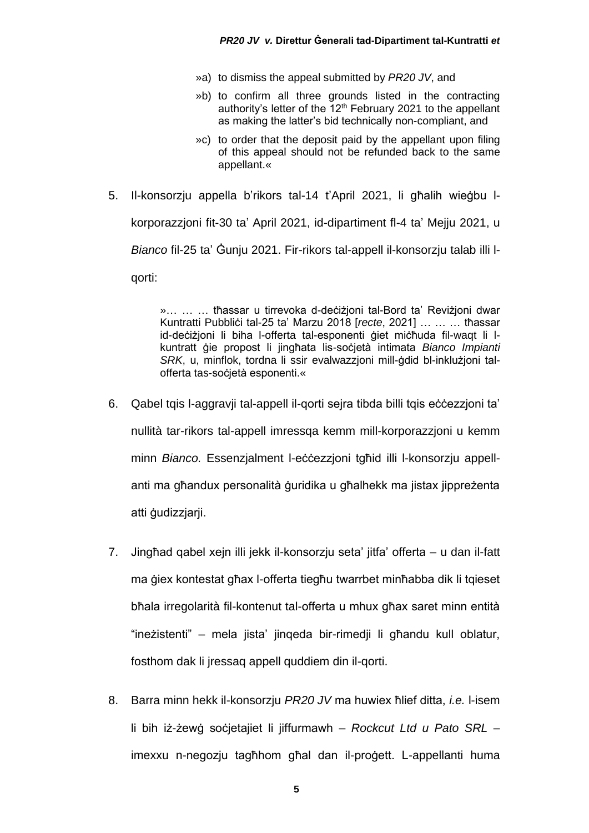- »a) to dismiss the appeal submitted by *PR20 JV*, and
- »b) to confirm all three grounds listed in the contracting authority's letter of the  $12<sup>th</sup>$  February 2021 to the appellant as making the latter's bid technically non-compliant, and
- »c) to order that the deposit paid by the appellant upon filing of this appeal should not be refunded back to the same appellant.«
- 5. Il-konsorzju appella b'rikors tal-14 t'April 2021, li għalih wieġbu lkorporazzjoni fit-30 ta' April 2021, id-dipartiment fl-4 ta' Mejju 2021, u *Bianco* fil-25 ta' Ġunju 2021. Fir-rikors tal-appell il-konsorzju talab illi lqorti:

»… … … tħassar u tirrevoka d-deċiżjoni tal-Bord ta' Reviżjoni dwar Kuntratti Pubbliċi tal-25 ta' Marzu 2018 [*recte*, 2021] … … … tħassar id-deċiżjoni li biha l-offerta tal-esponenti ġiet miċħuda fil-waqt li lkuntratt ġie propost li jingħata lis-soċjetà intimata *Bianco Impianti SRK*, u, minflok, tordna li ssir evalwazzjoni mill-ġdid bl-inklużjoni talofferta tas-soċjetà esponenti.«

- 6. Qabel tqis l-aggravji tal-appell il-qorti sejra tibda billi tqis eċċezzjoni ta' nullità tar-rikors tal-appell imressqa kemm mill-korporazzjoni u kemm minn *Bianco.* Essenzjalment l-eċċezzjoni tgħid illi l-konsorzju appellanti ma għandux personalità ġuridika u għalhekk ma jistax jippreżenta atti ġudizzjarji.
- 7. Jingħad qabel xejn illi jekk il-konsorzju seta' jitfa' offerta u dan il-fatt ma ġiex kontestat għax l-offerta tiegħu twarrbet minħabba dik li tqieset bħala irregolarità fil-kontenut tal-offerta u mhux għax saret minn entità "ineżistenti" – mela jista' jinqeda bir-rimedji li għandu kull oblatur, fosthom dak li jressaq appell quddiem din il-qorti.
- 8. Barra minn hekk il-konsorzju *PR20 JV* ma huwiex ħlief ditta, *i.e.* l-isem li bih iż-żewġ soċjetajiet li jiffurmawh – *Rockcut Ltd u Pato SRL* – imexxu n-negozju tagħhom għal dan il-proġett. L-appellanti huma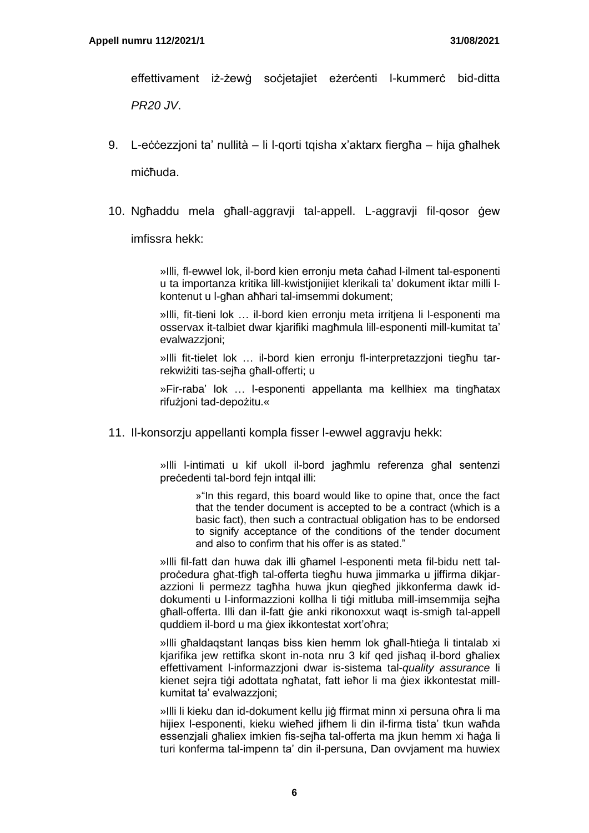effettivament iż-żewġ soċjetajiet eżerċenti l-kummerċ bid-ditta *PR20 JV*.

- 9. L-eċċezzjoni ta' nullità li l-qorti tqisha x'aktarx fiergħa hija għalhek miċħuda.
- 10. Ngħaddu mela għall-aggravji tal-appell. L-aggravji fil-qosor ġew

imfissra hekk:

»Illi, fl-ewwel lok, il-bord kien erronju meta ċaħad l-ilment tal-esponenti u ta importanza kritika lill-kwistjonijiet klerikali ta' dokument iktar milli lkontenut u l-għan aħħari tal-imsemmi dokument;

»Illi, fit-tieni lok … il-bord kien erronju meta irritjena li l-esponenti ma osservax it-talbiet dwar kjarifiki magħmula lill-esponenti mill-kumitat ta' evalwazzjoni;

»Illi fit-tielet lok … il-bord kien erronju fl-interpretazzjoni tiegħu tarrekwiżiti tas-sejħa għall-offerti; u

»Fir-raba' lok … l-esponenti appellanta ma kellhiex ma tingħatax rifużjoni tad-depożitu.«

11. Il-konsorzju appellanti kompla fisser l-ewwel aggravju hekk:

»Illi l-intimati u kif ukoll il-bord jagħmlu referenza għal sentenzi preċedenti tal-bord fejn intqal illi:

> »"In this regard, this board would like to opine that, once the fact that the tender document is accepted to be a contract (which is a basic fact), then such a contractual obligation has to be endorsed to signify acceptance of the conditions of the tender document and also to confirm that his offer is as stated."

»Illi fil-fatt dan huwa dak illi għamel l-esponenti meta fil-bidu nett talproċedura għat-tfigħ tal-offerta tiegħu huwa jimmarka u jiffirma dikjarazzioni li permezz tagħha huwa jkun qiegħed jikkonferma dawk iddokumenti u l-informazzioni kollha li tiġi mitluba mill-imsemmija sejħa għall-offerta. Illi dan il-fatt ġie anki rikonoxxut waqt is-smigħ tal-appell quddiem il-bord u ma ġiex ikkontestat xort'oħra;

»Illi għaldaqstant lanqas biss kien hemm lok għall-ħtieġa li tintalab xi kjarifika jew rettifka skont in-nota nru 3 kif qed jisħaq il-bord għaliex effettivament l-informazzjoni dwar is-sistema tal-*quality assurance* li kienet sejra tiġi adottata ngħatat, fatt ieħor li ma ġiex ikkontestat millkumitat ta' evalwazzjoni;

»Illi li kieku dan id-dokument kellu jiġ ffirmat minn xi persuna oħra li ma hijiex l-esponenti, kieku wieħed jifhem li din il-firma tista' tkun waħda essenzjali għaliex imkien fis-sejħa tal-offerta ma jkun hemm xi ħaġa li turi konferma tal-impenn ta' din il-persuna, Dan ovvjament ma huwiex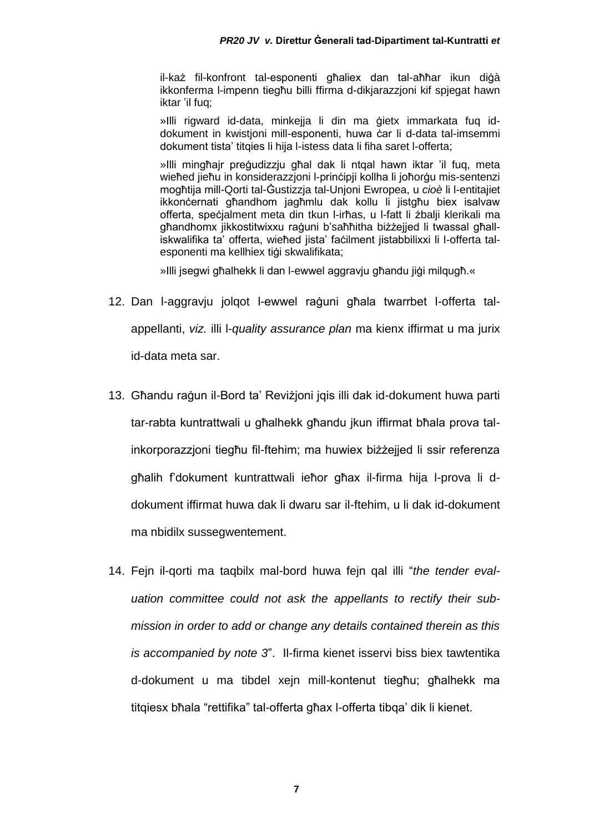il-każ fil-konfront tal-esponenti għaliex dan tal-aħħar ikun diġà ikkonferma l-impenn tiegħu billi ffirma d-dikjarazzjoni kif spjegat hawn iktar 'il fuq;

»Illi rigward id-data, minkejja li din ma ġietx immarkata fuq iddokument in kwistjoni mill-esponenti, huwa ċar li d-data tal-imsemmi dokument tista' titqies li hija l-istess data li fiha saret l-offerta;

»Illi mingħajr preġudizzju għal dak li ntqal hawn iktar 'il fuq, meta wieħed jieħu in konsiderazzjoni l-prinċipji kollha li joħorġu mis-sentenzi mogħtija mill-Qorti tal-Ġustizzja tal-Unjoni Ewropea, u *cioè* li l-entitajiet ikkonċernati għandhom jagħmlu dak kollu li jistgħu biex isalvaw offerta, speċjalment meta din tkun l-irħas, u l-fatt li żbalji klerikali ma għandhomx jikkostitwixxu raġuni b'saħħitha biżżejjed li twassal għalliskwalifika ta' offerta, wieħed jista' faċilment jistabbilixxi li l-offerta talesponenti ma kellhiex tiġi skwalifikata;

»Illi jsegwi għalhekk li dan l-ewwel aggravju għandu jiġi milqugħ.«

- 12. Dan l-aggravju jolqot l-ewwel raġuni għala twarrbet l-offerta talappellanti, *viz.* illi l-*quality assurance plan* ma kienx iffirmat u ma jurix id-data meta sar.
- 13. Għandu raġun il-Bord ta' Reviżjoni jqis illi dak id-dokument huwa parti tar-rabta kuntrattwali u għalhekk għandu jkun iffirmat bħala prova talinkorporazzjoni tiegħu fil-ftehim; ma huwiex biżżejjed li ssir referenza għalih f'dokument kuntrattwali ieħor għax il-firma hija l-prova li ddokument iffirmat huwa dak li dwaru sar il-ftehim, u li dak id-dokument ma nbidilx sussegwentement.
- 14. Fejn il-qorti ma taqbilx mal-bord huwa fejn qal illi "*the tender evaluation committee could not ask the appellants to rectify their submission in order to add or change any details contained therein as this is accompanied by note 3*". Il-firma kienet isservi biss biex tawtentika d-dokument u ma tibdel xejn mill-kontenut tiegħu; għalhekk ma titqiesx bħala "rettifika" tal-offerta għax l-offerta tibqa' dik li kienet.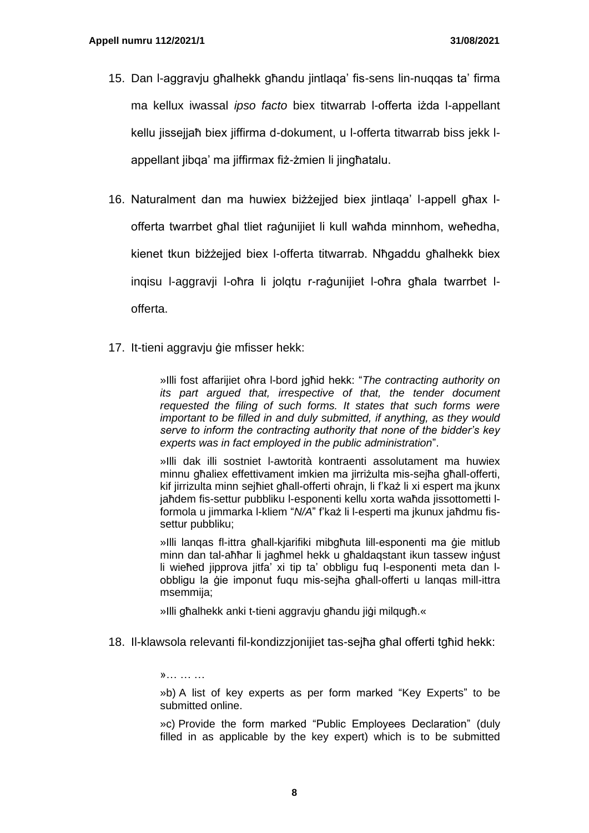- 15. Dan l-aggravju għalhekk għandu jintlaqa' fis-sens lin-nuqqas ta' firma ma kellux iwassal *ipso facto* biex titwarrab l-offerta iżda l-appellant kellu jissejjaħ biex jiffirma d-dokument, u l-offerta titwarrab biss jekk lappellant jibqa' ma jiffirmax fiż-żmien li jingħatalu.
- 16. Naturalment dan ma huwiex biżżejjed biex jintlaqa' l-appell għax lofferta twarrbet għal tliet raġunijiet li kull waħda minnhom, weħedha, kienet tkun biżżejjed biex l-offerta titwarrab. Nħgaddu għalhekk biex inqisu l-aggravji l-oħra li jolqtu r-raġunijiet l-oħra għala twarrbet lofferta.
- 17. It-tieni aggravju ġie mfisser hekk:

»Illi fost affarijiet oħra l-bord jgħid hekk: "*The contracting authority on its part argued that, irrespective of that, the tender document requested the filing of such forms. It states that such forms were important to be filled in and duly submitted, if anything, as they would serve to inform the contracting authority that none of the bidder's key experts was in fact employed in the public administration*".

»Illi dak illi sostniet l-awtorità kontraenti assolutament ma huwiex minnu għaliex effettivament imkien ma jirriżulta mis-sejħa għall-offerti, kif jirrizulta minn sejħiet għall-offerti oħrajn, li f'każ li xi espert ma jkunx jaħdem fis-settur pubbliku l-esponenti kellu xorta waħda jissottometti lformola u jimmarka l-kliem "*N/A*" f'każ li l-esperti ma jkunux jaħdmu fissettur pubbliku;

»Illi lanqas fl-ittra għall-kjarifiki mibgħuta lill-esponenti ma ġie mitlub minn dan tal-aħħar li jagħmel hekk u għaldagstant ikun tassew inġust li wieħed jipprova jitfa' xi tip ta' obbligu fuq l-esponenti meta dan lobbligu la ġie imponut fuqu mis-sejħa għall-offerti u lanqas mill-ittra msemmija;

»Illi għalhekk anki t-tieni aggravju għandu jiġi milqugħ.«

18. Il-klawsola relevanti fil-kondizzjonijiet tas-sejħa għal offerti tgħid hekk:

»… … …

»b) A list of key experts as per form marked "Key Experts" to be submitted online.

»c) Provide the form marked "Public Employees Declaration" (duly filled in as applicable by the key expert) which is to be submitted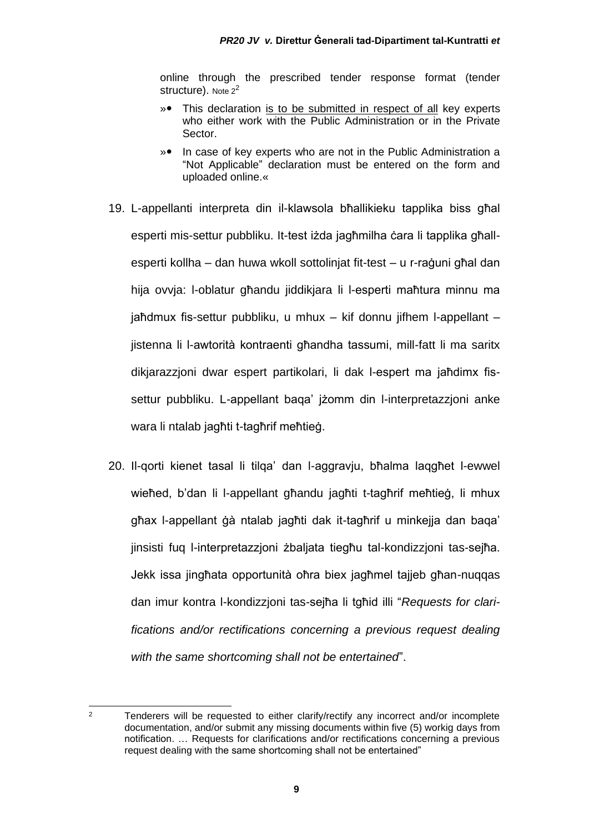online through the prescribed tender response format (tender structure). Note 2<sup>2</sup>

- »• This declaration is to be submitted in respect of all key experts who either work with the Public Administration or in the Private Sector.
- »• In case of key experts who are not in the Public Administration a "Not Applicable" declaration must be entered on the form and uploaded online.«
- 19. L-appellanti interpreta din il-klawsola bħallikieku tapplika biss għal esperti mis-settur pubbliku. It-test iżda jagħmilha ċara li tapplika għallesperti kollha – dan huwa wkoll sottolinjat fit-test – u r-raġuni għal dan hija ovvja: l-oblatur għandu jiddikjara li l-esperti maħtura minnu ma jaħdmux fis-settur pubbliku, u mhux – kif donnu jifhem l-appellant – jistenna li l-awtorità kontraenti għandha tassumi, mill-fatt li ma saritx dikjarazzjoni dwar espert partikolari, li dak l-espert ma jaħdimx fissettur pubbliku. L-appellant baqa' jżomm din l-interpretazzjoni anke wara li ntalab jagħti t-tagħrif meħtieġ.
- 20. Il-qorti kienet tasal li tilqa' dan l-aggravju, bħalma laqgħet l-ewwel wieħed, b'dan li l-appellant għandu jagħti t-tagħrif meħtieġ, li mhux għax l-appellant ġà ntalab jagħti dak it-tagħrif u minkejja dan baqa' jinsisti fuq l-interpretazzjoni żbaljata tiegħu tal-kondizzjoni tas-sejħa. Jekk issa jingħata opportunità oħra biex jagħmel tajjeb għan-nuqqas dan imur kontra l-kondizzjoni tas-sejħa li tgħid illi "*Requests for clarifications and/or rectifications concerning a previous request dealing with the same shortcoming shall not be entertained*".

 $2$  Tenderers will be requested to either clarify/rectify any incorrect and/or incomplete documentation, and/or submit any missing documents within five (5) workig days from notification. … Requests for clarifications and/or rectifications concerning a previous request dealing with the same shortcoming shall not be entertained"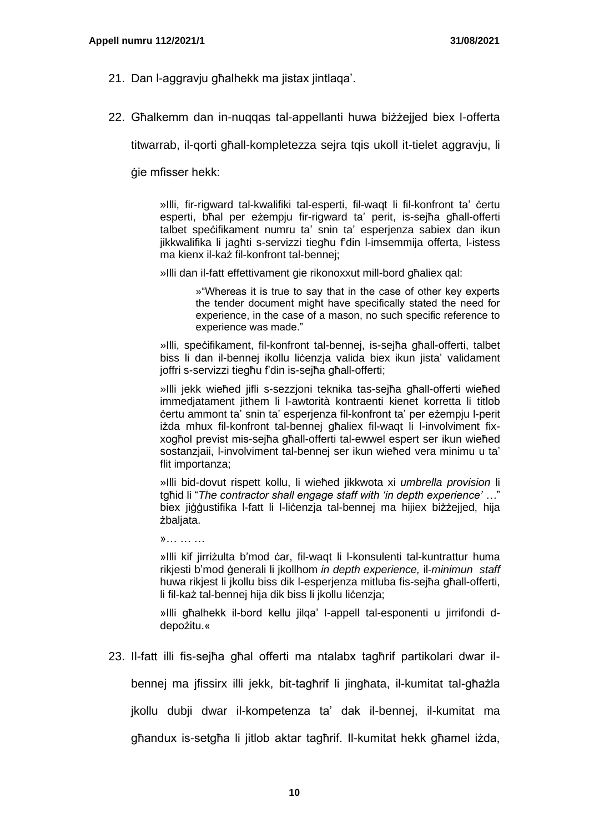- 21. Dan l-aggravju għalhekk ma jistax jintlaqa'.
- 22. Għalkemm dan in-nuqqas tal-appellanti huwa biżżejjed biex l-offerta

titwarrab, il-qorti għall-kompletezza sejra tqis ukoll it-tielet aggravju, li

ġie mfisser hekk:

»Illi, fir-rigward tal-kwalifiki tal-esperti, fil-waqt li fil-konfront ta' ċertu esperti, bħal per eżempju fir-rigward ta' perit, is-sejħa għall-offerti talbet speċifikament numru ta' snin ta' esperjenza sabiex dan ikun jikkwalifika li jagħti s-servizzi tiegħu f'din l-imsemmija offerta, l-istess ma kienx il-każ fil-konfront tal-bennej;

»Illi dan il-fatt effettivament gie rikonoxxut mill-bord għaliex qal:

»"Whereas it is true to say that in the case of other key experts the tender document migħt have specifically stated the need for experience, in the case of a mason, no such specific reference to experience was made."

»Illi, speċifikament, fil-konfront tal-bennej, is-sejħa għall-offerti, talbet biss li dan il-bennej ikollu ličenzja valida biex ikun jista' validament joffri s-servizzi tiegħu f'din is-sejħa għall-offerti;

»Illi jekk wieħed jifli s-sezzjoni teknika tas-sejħa għall-offerti wieħed immedjatament jithem li l-awtorità kontraenti kienet korretta li titlob ċertu ammont ta' snin ta' esperjenza fil-konfront ta' per eżempju l-perit iżda mhux fil-konfront tal-bennej għaliex fil-waqt li l-involviment fixxogħol previst mis-sejħa għall-offerti tal-ewwel espert ser ikun wieħed sostanzjaii, l-involviment tal-bennej ser ikun wieħed vera minimu u ta' flit importanza;

»Illi bid-dovut rispett kollu, li wieħed jikkwota xi *umbrella provision* li tgħid li "*The contractor shall engage staff with 'in depth experience' …*" biex jiggustifika l-fatt li l-licenzia tal-bennej ma hijiex biżżejied, hija żbaljata.

»… … …

»Illi kif jirriżulta b'mod ċar, fil-waqt li l-konsulenti tal-kuntrattur huma rikjesti b'mod ġenerali li jkollhom *in depth experience,* il-*minimun staff* huwa rikjest li jkollu biss dik l-esperjenza mitluba fis-sejħa għall-offerti, li fil-każ tal-bennej hija dik biss li jkollu lićenzja;

»Illi għalhekk il-bord kellu jilqa' l-appell tal-esponenti u jirrifondi ddepożitu.«

23. Il-fatt illi fis-sejħa għal offerti ma ntalabx tagħrif partikolari dwar il-

bennej ma jfissirx illi jekk, bit-tagħrif li jingħata, il-kumitat tal-għażla

jkollu dubji dwar il-kompetenza ta' dak il-bennej, il-kumitat ma

għandux is-setgħa li jitlob aktar tagħrif. Il-kumitat hekk għamel iżda,